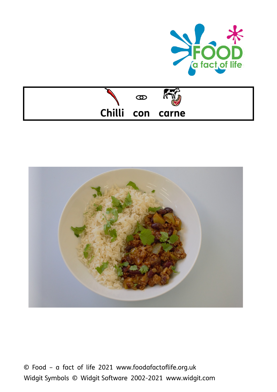





© Food – a fact of life 2021 www.foodafactoflife.org.uk Widgit Symbols © Widgit Software 2002-2021 www.widgit.com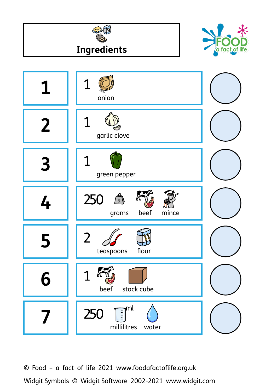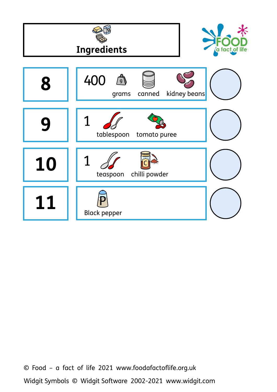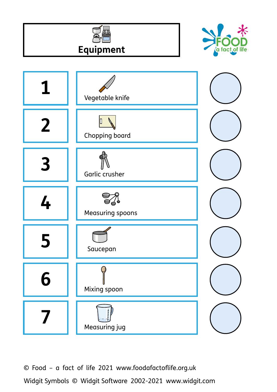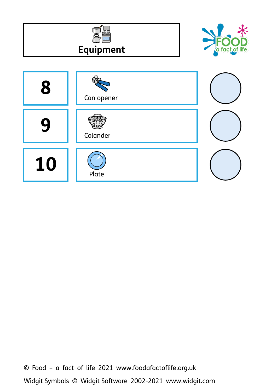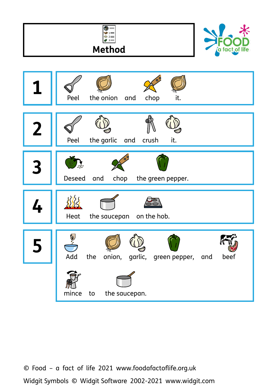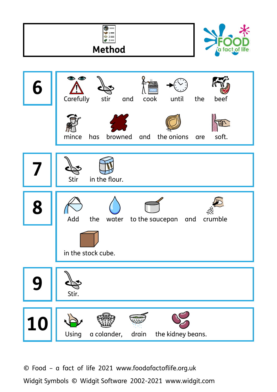